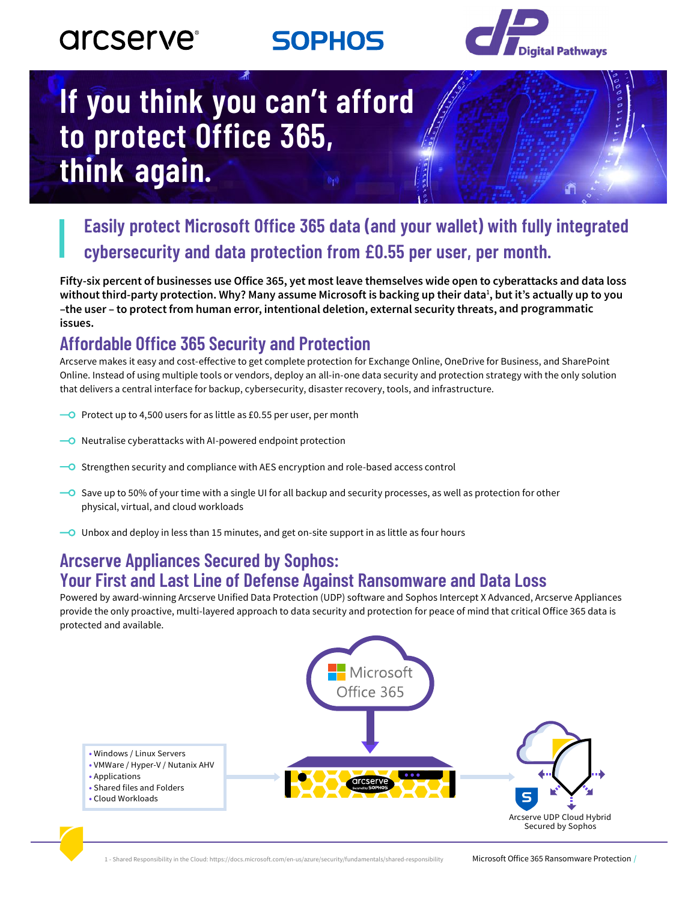## **arcserve**®

**SOPHOS** 



# If you think you can't afford to protect Office 365, think again.

### Easily protect Microsoft Office 365 data (and your wallet) with fully integrated cybersecurity and data protection from £0.55 per user, per month.

Fifty-six percent of businesses use Office 365, yet most leave themselves wide open to cyberattacks and data loss without third-party protection. Why? Many assume Microsoft is backing up their data<sup>1</sup>, but it's actually up to you -the user - to protect from human error, intentional deletion, external security threats, and programmatic issues.

#### **Affordable Office 365 Security and Protection**

Arcserve makes it easy and cost-effective to get complete protection for Exchange Online, OneDrive for Business, and SharePoint Online. Instead of using multiple tools or vendors, deploy an all-in-one data security and protection strategy with the only solution that delivers a central interface for backup, cybersecurity, disaster recovery, tools, and infrastructure.

- $\overline{\phantom{1}}$  Protect up to 4,500 users for as little as £0.55 per user, per month
- Neutralise cyberattacks with AI-powered endpoint protection
- O Strengthen security and compliance with AES encryption and role-based access control
- → Save up to 50% of your time with a single UI for all backup and security processes, as well as protection for other physical, virtual, and cloud workloads
- $\overline{\phantom{a}}$  Unbox and deploy in less than 15 minutes, and get on-site support in as little as four hours

#### **Arcserve Appliances Secured by Sophos: Your First and Last Line of Defense Against Ransomware and Data Loss**

Powered by award-winning Arcserve Unified Data Protection (UDP) software and Sophos Intercept X Advanced, Arcserve Appliances provide the only proactive, multi-layered approach to data security and protection for peace of mind that critical Office 365 data is protected and available.